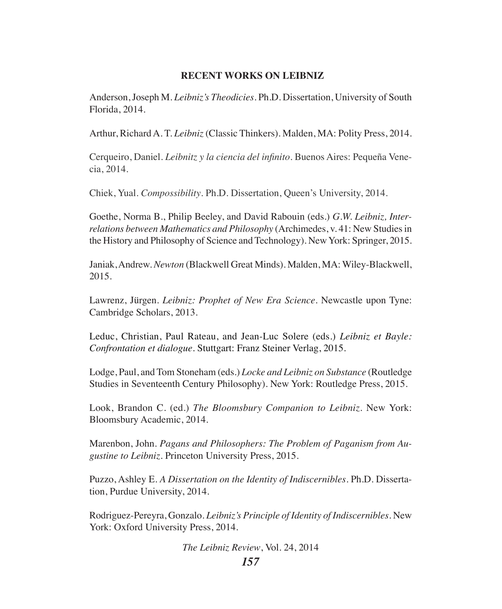## **RECENT WORKS ON LEIBNIZ**

Anderson, Joseph M. *Leibniz's Theodicies*. Ph.D. Dissertation, University of South Florida, 2014.

Arthur, Richard A. T. *Leibniz* (Classic Thinkers). Malden, MA: Polity Press, 2014.

Cerqueiro, Daniel. *Leibnitz y la ciencia del infinito*. Buenos Aires: Pequeña Venecia, 2014.

Chiek, Yual. *Compossibility*. Ph.D. Dissertation, Queen's University, 2014.

Goethe, Norma B., Philip Beeley, and David Rabouin (eds.) *G.W. Leibniz, Interrelations between Mathematics and Philosophy* (Archimedes, v. 41: New Studies in the History and Philosophy of Science and Technology). New York: Springer, 2015.

Janiak, Andrew. *Newton* (Blackwell Great Minds). Malden, MA: Wiley-Blackwell, 2015.

Lawrenz, Jürgen. *Leibniz: Prophet of New Era Science*. Newcastle upon Tyne: Cambridge Scholars, 2013.

Leduc, Christian, Paul Rateau, and Jean-Luc Solere (eds.) *Leibniz et Bayle: Confrontation et dialogue*. Stuttgart: Franz Steiner Verlag, 2015.

Lodge, Paul, and Tom Stoneham (eds.) *Locke and Leibniz on Substance* (Routledge Studies in Seventeenth Century Philosophy). New York: Routledge Press, 2015.

Look, Brandon C. (ed.) *The Bloomsbury Companion to Leibniz*. New York: Bloomsbury Academic, 2014.

Marenbon, John. *Pagans and Philosophers: The Problem of Paganism from Augustine to Leibniz*. Princeton University Press, 2015.

Puzzo, Ashley E. *A Dissertation on the Identity of Indiscernibles*. Ph.D. Dissertation, Purdue University, 2014.

Rodriguez-Pereyra, Gonzalo. *Leibniz's Principle of Identity of Indiscernibles.* New York: Oxford University Press, 2014.

*The Leibniz Review*, Vol. 24, 2014